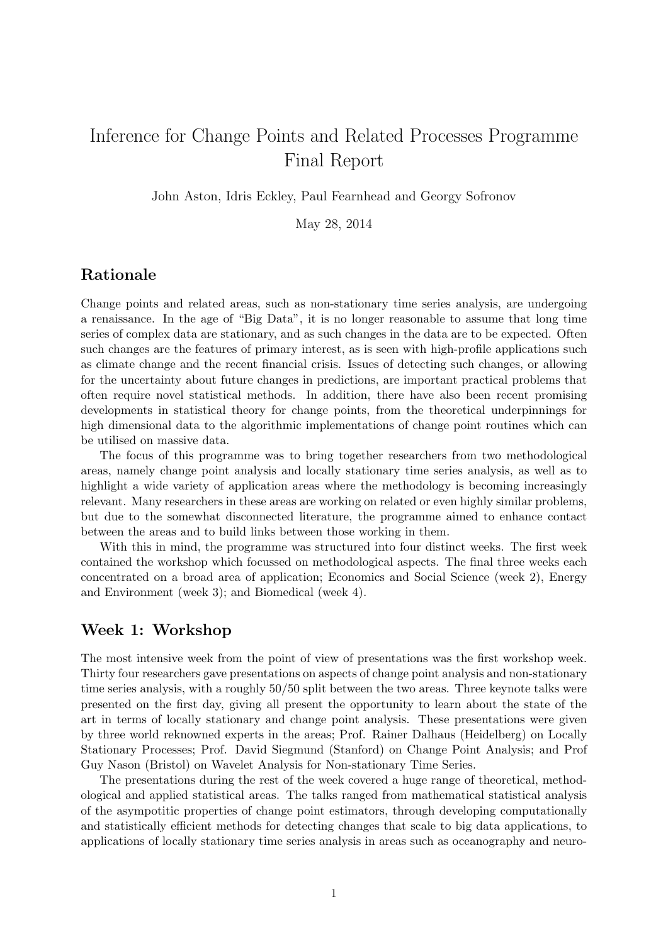# Inference for Change Points and Related Processes Programme Final Report

John Aston, Idris Eckley, Paul Fearnhead and Georgy Sofronov

May 28, 2014

#### Rationale

Change points and related areas, such as non-stationary time series analysis, are undergoing a renaissance. In the age of "Big Data", it is no longer reasonable to assume that long time series of complex data are stationary, and as such changes in the data are to be expected. Often such changes are the features of primary interest, as is seen with high-profile applications such as climate change and the recent financial crisis. Issues of detecting such changes, or allowing for the uncertainty about future changes in predictions, are important practical problems that often require novel statistical methods. In addition, there have also been recent promising developments in statistical theory for change points, from the theoretical underpinnings for high dimensional data to the algorithmic implementations of change point routines which can be utilised on massive data.

The focus of this programme was to bring together researchers from two methodological areas, namely change point analysis and locally stationary time series analysis, as well as to highlight a wide variety of application areas where the methodology is becoming increasingly relevant. Many researchers in these areas are working on related or even highly similar problems, but due to the somewhat disconnected literature, the programme aimed to enhance contact between the areas and to build links between those working in them.

With this in mind, the programme was structured into four distinct weeks. The first week contained the workshop which focussed on methodological aspects. The final three weeks each concentrated on a broad area of application; Economics and Social Science (week 2), Energy and Environment (week 3); and Biomedical (week 4).

#### Week 1: Workshop

The most intensive week from the point of view of presentations was the first workshop week. Thirty four researchers gave presentations on aspects of change point analysis and non-stationary time series analysis, with a roughly 50/50 split between the two areas. Three keynote talks were presented on the first day, giving all present the opportunity to learn about the state of the art in terms of locally stationary and change point analysis. These presentations were given by three world reknowned experts in the areas; Prof. Rainer Dalhaus (Heidelberg) on Locally Stationary Processes; Prof. David Siegmund (Stanford) on Change Point Analysis; and Prof Guy Nason (Bristol) on Wavelet Analysis for Non-stationary Time Series.

The presentations during the rest of the week covered a huge range of theoretical, methodological and applied statistical areas. The talks ranged from mathematical statistical analysis of the asympotitic properties of change point estimators, through developing computationally and statistically efficient methods for detecting changes that scale to big data applications, to applications of locally stationary time series analysis in areas such as oceanography and neuro